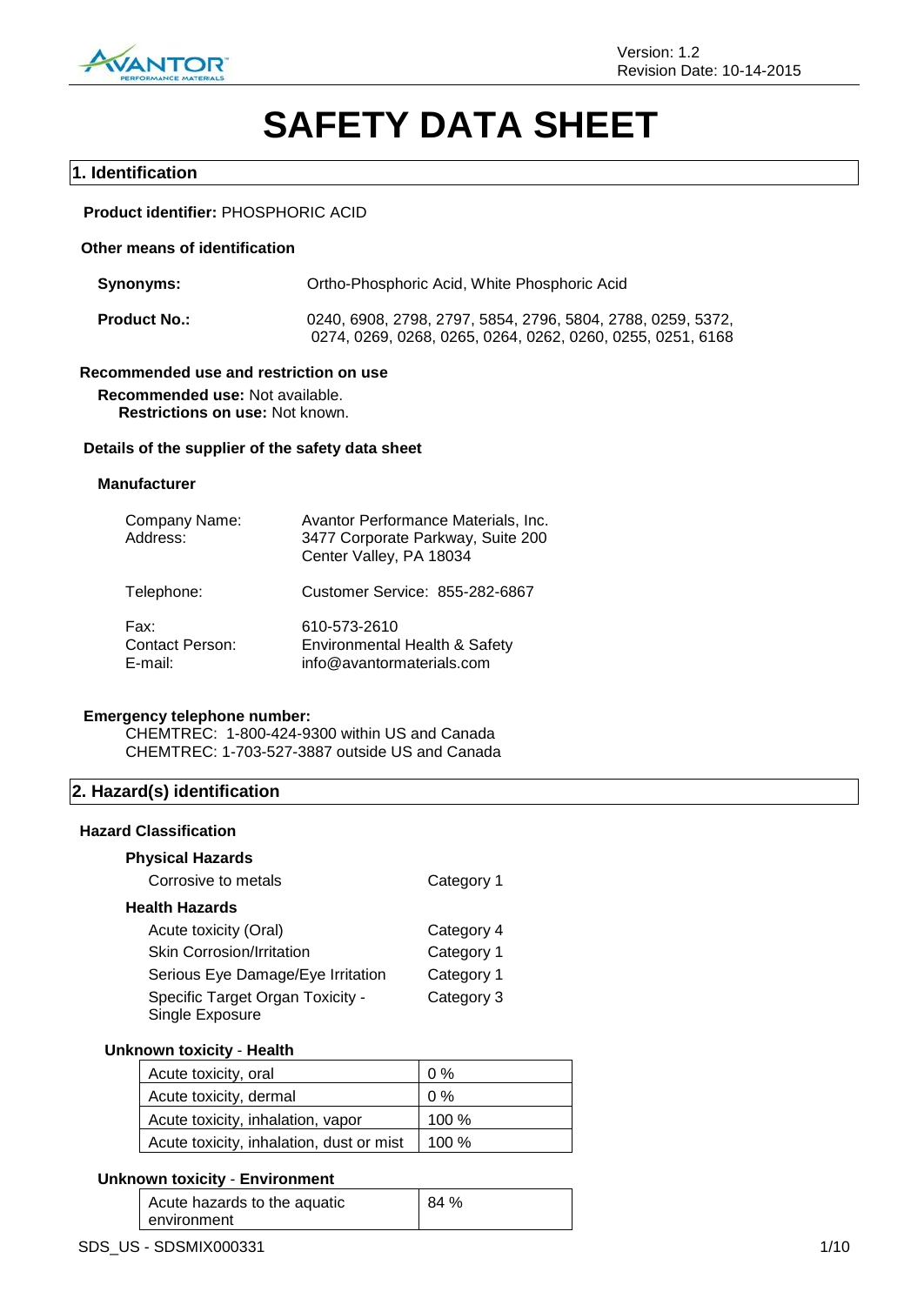

# **SAFETY DATA SHEET**

# **1. Identification**

# **Product identifier:** PHOSPHORIC ACID

# **Other means of identification**

| Synonyms:           | Ortho-Phosphoric Acid, White Phosphoric Acid                                                                              |  |  |
|---------------------|---------------------------------------------------------------------------------------------------------------------------|--|--|
| <b>Product No.:</b> | 0240, 6908, 2798, 2797, 5854, 2796, 5804, 2788, 0259, 5372,<br>0274, 0269, 0268, 0265, 0264, 0262, 0260, 0255, 0251, 6168 |  |  |

# **Recommended use and restriction on use**

**Recommended use:** Not available. **Restrictions on use:** Not known.

#### **Details of the supplier of the safety data sheet**

## **Manufacturer**

| Company Name:<br>Address:                    | Avantor Performance Materials, Inc.<br>3477 Corporate Parkway, Suite 200<br>Center Valley, PA 18034 |
|----------------------------------------------|-----------------------------------------------------------------------------------------------------|
| Telephone:                                   | Customer Service: 855-282-6867                                                                      |
| Fax:<br><b>Contact Person:</b><br>$E$ -mail: | 610-573-2610<br>Environmental Health & Safety<br>info@avantormaterials.com                          |

## **Emergency telephone number:**

CHEMTREC: 1-800-424-9300 within US and Canada CHEMTREC: 1-703-527-3887 outside US and Canada

# **2. Hazard(s) identification**

#### **Hazard Classification**

# **Physical Hazards**

| Corrosive to metals                                 | Category 1 |
|-----------------------------------------------------|------------|
| <b>Health Hazards</b>                               |            |
| Acute toxicity (Oral)                               | Category 4 |
| <b>Skin Corrosion/Irritation</b>                    | Category 1 |
| Serious Eye Damage/Eye Irritation                   | Category 1 |
| Specific Target Organ Toxicity -<br>Single Exposure | Category 3 |

# **Unknown toxicity** - **Health**

| Acute toxicity, oral                     | 0%      |
|------------------------------------------|---------|
| Acute toxicity, dermal                   | 0%      |
| Acute toxicity, inhalation, vapor        | 100 $%$ |
| Acute toxicity, inhalation, dust or mist | 100 $%$ |

# **Unknown toxicity** - **Environment**

| Acute hazards to the aquatic | 84 % |
|------------------------------|------|
| environment                  |      |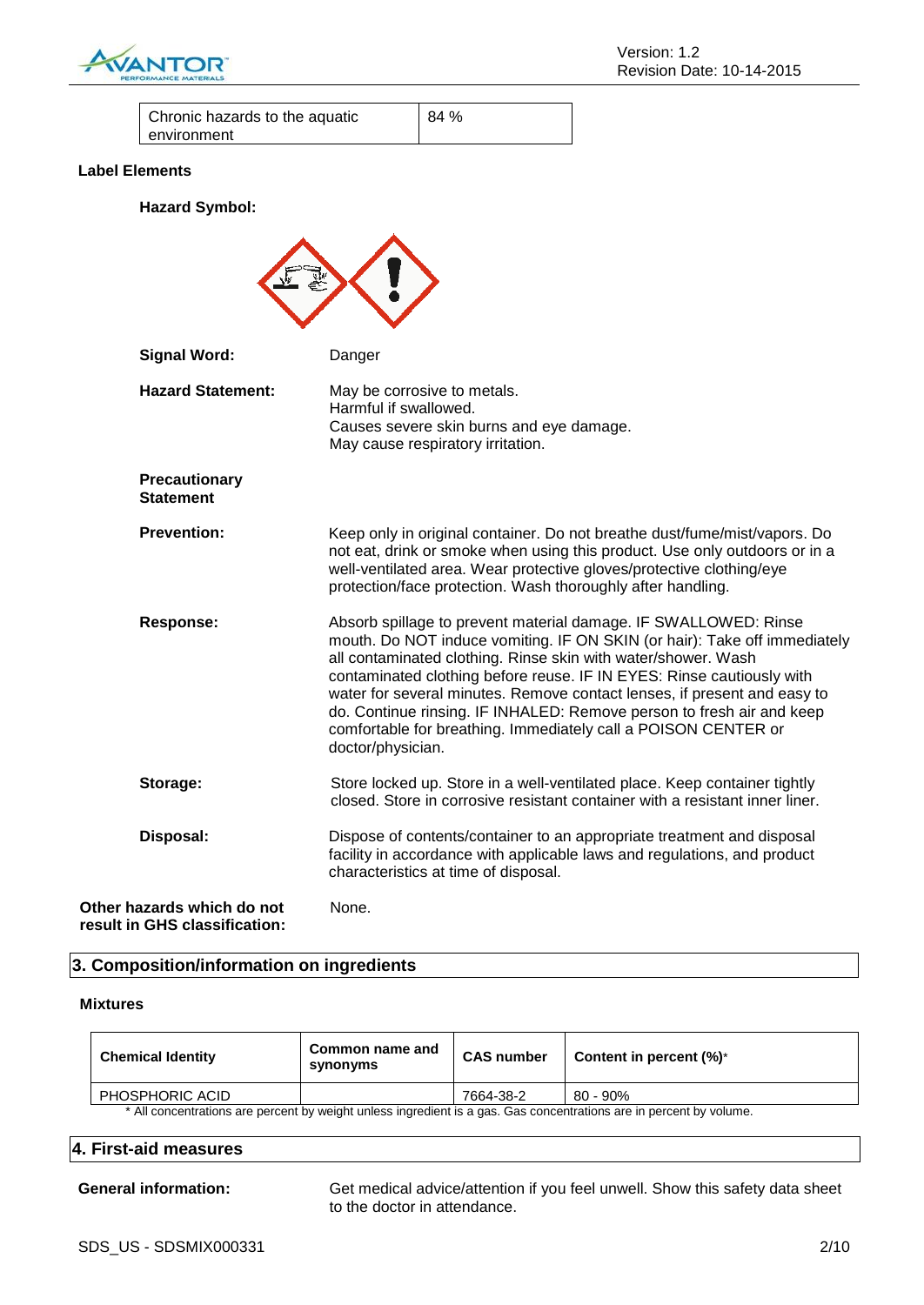

| Chronic hazards to the aquatic | 84 % |
|--------------------------------|------|
| environment                    |      |

# **Label Elements**

**Hazard Symbol:**

| <b>Signal Word:</b><br><b>Hazard Statement:</b>             | Danger<br>May be corrosive to metals.<br>Harmful if swallowed.<br>Causes severe skin burns and eye damage.<br>May cause respiratory irritation.                                                                                                                                                                                                                                                                                                                                                                                    |
|-------------------------------------------------------------|------------------------------------------------------------------------------------------------------------------------------------------------------------------------------------------------------------------------------------------------------------------------------------------------------------------------------------------------------------------------------------------------------------------------------------------------------------------------------------------------------------------------------------|
| <b>Precautionary</b><br><b>Statement</b>                    |                                                                                                                                                                                                                                                                                                                                                                                                                                                                                                                                    |
| <b>Prevention:</b>                                          | Keep only in original container. Do not breathe dust/fume/mist/vapors. Do<br>not eat, drink or smoke when using this product. Use only outdoors or in a<br>well-ventilated area. Wear protective gloves/protective clothing/eye<br>protection/face protection. Wash thoroughly after handling.                                                                                                                                                                                                                                     |
| <b>Response:</b>                                            | Absorb spillage to prevent material damage. IF SWALLOWED: Rinse<br>mouth. Do NOT induce vomiting. IF ON SKIN (or hair): Take off immediately<br>all contaminated clothing. Rinse skin with water/shower. Wash<br>contaminated clothing before reuse. IF IN EYES: Rinse cautiously with<br>water for several minutes. Remove contact lenses, if present and easy to<br>do. Continue rinsing. IF INHALED: Remove person to fresh air and keep<br>comfortable for breathing. Immediately call a POISON CENTER or<br>doctor/physician. |
| Storage:                                                    | Store locked up. Store in a well-ventilated place. Keep container tightly<br>closed. Store in corrosive resistant container with a resistant inner liner.                                                                                                                                                                                                                                                                                                                                                                          |
| Disposal:                                                   | Dispose of contents/container to an appropriate treatment and disposal<br>facility in accordance with applicable laws and regulations, and product<br>characteristics at time of disposal.                                                                                                                                                                                                                                                                                                                                         |
| Other hazards which do not<br>result in GHS classification: | None.                                                                                                                                                                                                                                                                                                                                                                                                                                                                                                                              |

# **3. Composition/information on ingredients**

## **Mixtures**

| <b>Chemical Identity</b>                                                                                            | Common name and<br>synonyms | <b>CAS number</b> | Content in percent $(\%)^*$ |
|---------------------------------------------------------------------------------------------------------------------|-----------------------------|-------------------|-----------------------------|
| PHOSPHORIC ACID                                                                                                     |                             | 7664-38-2         | 80 - 90%                    |
| * All concentrations are percent by weight unless ingredient is a gas. Gas concentrations are in percent by volume. |                             |                   |                             |

# **4. First-aid measures**

**General information:** Get medical advice/attention if you feel unwell. Show this safety data sheet to the doctor in attendance.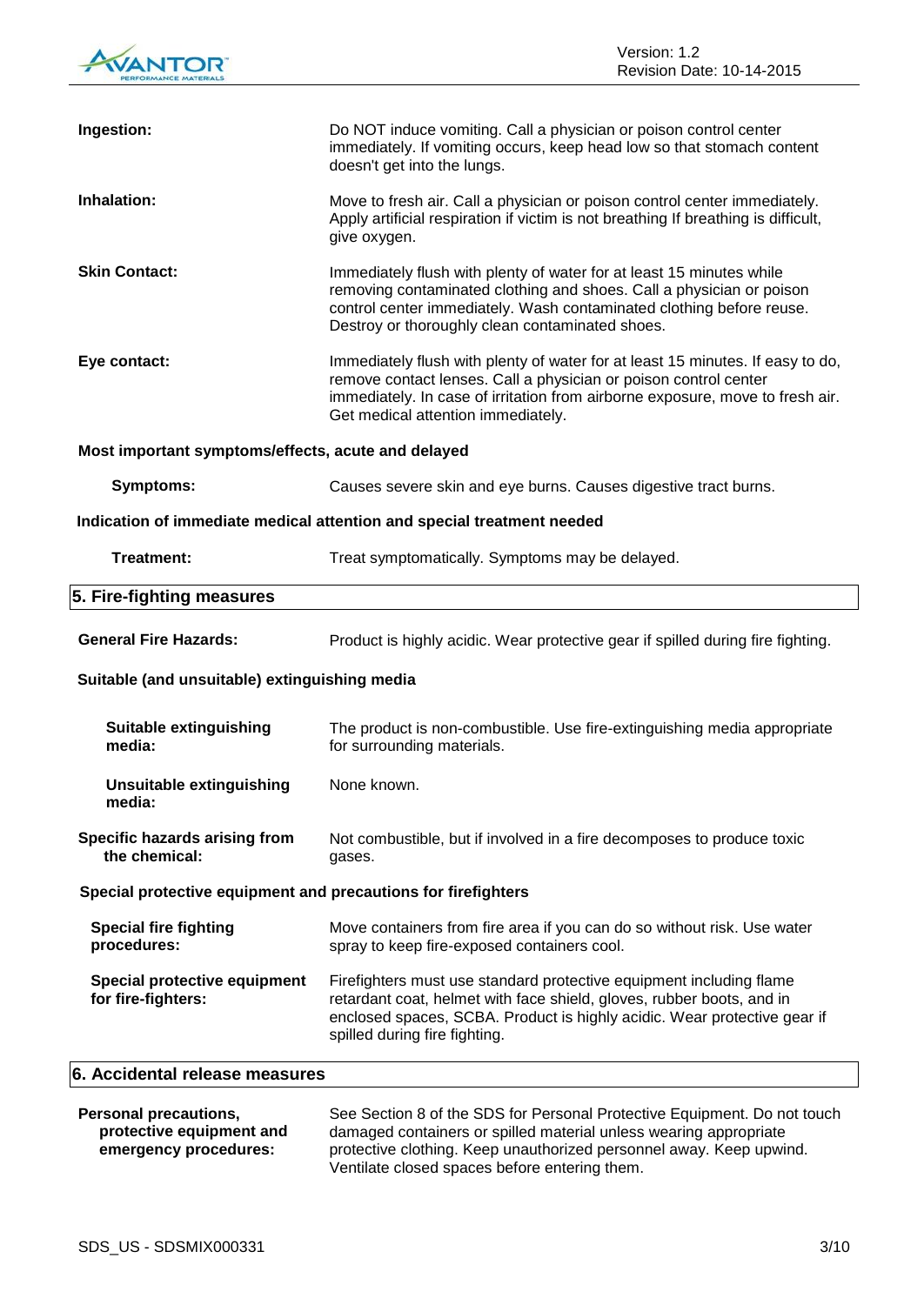

| Ingestion:                                                             | Do NOT induce vomiting. Call a physician or poison control center<br>immediately. If vomiting occurs, keep head low so that stomach content<br>doesn't get into the lungs.                                                                                                |  |
|------------------------------------------------------------------------|---------------------------------------------------------------------------------------------------------------------------------------------------------------------------------------------------------------------------------------------------------------------------|--|
| Inhalation:                                                            | Move to fresh air. Call a physician or poison control center immediately.<br>Apply artificial respiration if victim is not breathing If breathing is difficult,<br>give oxygen.                                                                                           |  |
| <b>Skin Contact:</b>                                                   | Immediately flush with plenty of water for at least 15 minutes while<br>removing contaminated clothing and shoes. Call a physician or poison<br>control center immediately. Wash contaminated clothing before reuse.<br>Destroy or thoroughly clean contaminated shoes.   |  |
| Eye contact:                                                           | Immediately flush with plenty of water for at least 15 minutes. If easy to do,<br>remove contact lenses. Call a physician or poison control center<br>immediately. In case of irritation from airborne exposure, move to fresh air.<br>Get medical attention immediately. |  |
| Most important symptoms/effects, acute and delayed                     |                                                                                                                                                                                                                                                                           |  |
| Symptoms:                                                              | Causes severe skin and eye burns. Causes digestive tract burns.                                                                                                                                                                                                           |  |
| Indication of immediate medical attention and special treatment needed |                                                                                                                                                                                                                                                                           |  |
| Treatment:                                                             | Treat symptomatically. Symptoms may be delayed.                                                                                                                                                                                                                           |  |
| 5. Fire-fighting measures                                              |                                                                                                                                                                                                                                                                           |  |
| <b>General Fire Hazards:</b>                                           | Product is highly acidic. Wear protective gear if spilled during fire fighting.                                                                                                                                                                                           |  |
| Suitable (and unsuitable) extinguishing media                          |                                                                                                                                                                                                                                                                           |  |
| Suitable extinguishing<br>media:                                       | The product is non-combustible. Use fire-extinguishing media appropriate<br>for surrounding materials.                                                                                                                                                                    |  |
| <b>Unsuitable extinguishing</b><br>media:                              | None known.                                                                                                                                                                                                                                                               |  |
| Specific hazards arising from<br>the chemical:                         | Not combustible, but if involved in a fire decomposes to produce toxic<br>gases.                                                                                                                                                                                          |  |
| Special protective equipment and precautions for firefighters          |                                                                                                                                                                                                                                                                           |  |
| <b>Special fire fighting</b><br>procedures:                            | Move containers from fire area if you can do so without risk. Use water<br>spray to keep fire-exposed containers cool.                                                                                                                                                    |  |
| <b>Special protective equipment</b><br>for fire-fighters:              | Firefighters must use standard protective equipment including flame<br>retardant coat, helmet with face shield, gloves, rubber boots, and in<br>enclosed spaces, SCBA. Product is highly acidic. Wear protective gear if<br>spilled during fire fighting.                 |  |
| 6. Accidental release measures                                         |                                                                                                                                                                                                                                                                           |  |
|                                                                        |                                                                                                                                                                                                                                                                           |  |

| <b>Personal precautions,</b> | See Section 8 of the SDS for Personal Protective Equipment. Do not touch |
|------------------------------|--------------------------------------------------------------------------|
| protective equipment and     | damaged containers or spilled material unless wearing appropriate        |
| emergency procedures:        | protective clothing. Keep unauthorized personnel away. Keep upwind.      |
|                              | Ventilate closed spaces before entering them.                            |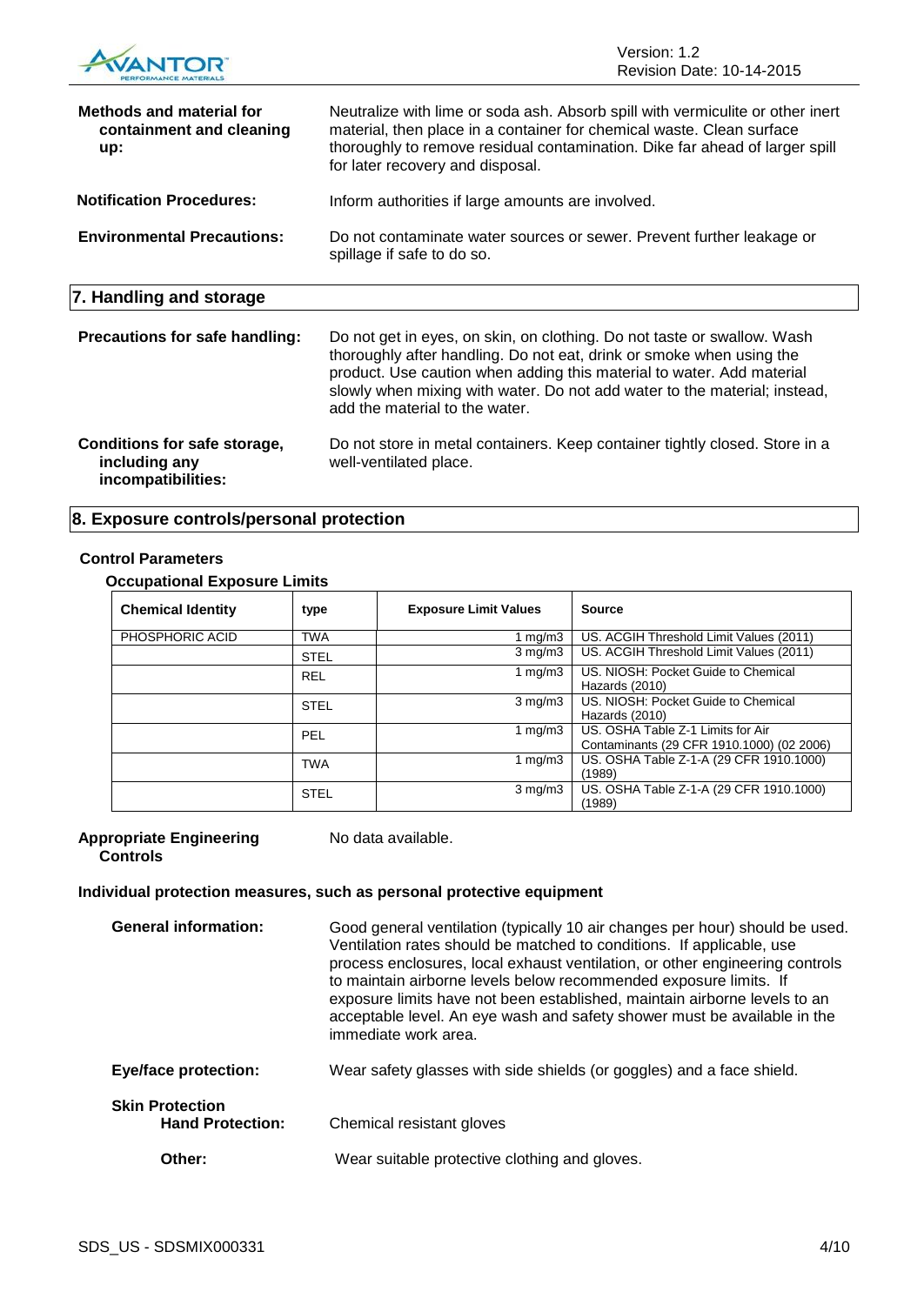|                                                                     | Version: 1.2<br><b>Revision Date: 10-14-2015</b>                                                                                                                                                                                                                                                                                        |  |
|---------------------------------------------------------------------|-----------------------------------------------------------------------------------------------------------------------------------------------------------------------------------------------------------------------------------------------------------------------------------------------------------------------------------------|--|
| <b>Methods and material for</b><br>containment and cleaning<br>up:  | Neutralize with lime or soda ash. Absorb spill with vermiculite or other inert<br>material, then place in a container for chemical waste. Clean surface<br>thoroughly to remove residual contamination. Dike far ahead of larger spill<br>for later recovery and disposal.                                                              |  |
| <b>Notification Procedures:</b>                                     | Inform authorities if large amounts are involved.                                                                                                                                                                                                                                                                                       |  |
| <b>Environmental Precautions:</b>                                   | Do not contaminate water sources or sewer. Prevent further leakage or<br>spillage if safe to do so.                                                                                                                                                                                                                                     |  |
| 7. Handling and storage                                             |                                                                                                                                                                                                                                                                                                                                         |  |
| <b>Precautions for safe handling:</b>                               | Do not get in eyes, on skin, on clothing. Do not taste or swallow. Wash<br>thoroughly after handling. Do not eat, drink or smoke when using the<br>product. Use caution when adding this material to water. Add material<br>slowly when mixing with water. Do not add water to the material; instead,<br>add the material to the water. |  |
| Conditions for safe storage,<br>including any<br>incompatibilities: | Do not store in metal containers. Keep container tightly closed. Store in a<br>well-ventilated place.                                                                                                                                                                                                                                   |  |

# **8. Exposure controls/personal protection**

# **Control Parameters**

# **Occupational Exposure Limits**

| ------                   |             |                              |                                                                                |
|--------------------------|-------------|------------------------------|--------------------------------------------------------------------------------|
| <b>Chemical Identity</b> | type        | <b>Exposure Limit Values</b> | <b>Source</b>                                                                  |
| PHOSPHORIC ACID          | <b>TWA</b>  | 1 mg/m $3$                   | US. ACGIH Threshold Limit Values (2011)                                        |
|                          | <b>STEL</b> | $3 \text{ mg/m}$             | US. ACGIH Threshold Limit Values (2011)                                        |
|                          | <b>REL</b>  | 1 $mq/m3$                    | US. NIOSH: Pocket Guide to Chemical<br>Hazards (2010)                          |
|                          | <b>STEL</b> | $3 \text{ mg/m}$             | US. NIOSH: Pocket Guide to Chemical<br>Hazards (2010)                          |
|                          | PEL         | 1 $mq/m3$                    | US. OSHA Table Z-1 Limits for Air<br>Contaminants (29 CFR 1910.1000) (02 2006) |
|                          | <b>TWA</b>  | 1 $mq/m3$                    | US. OSHA Table Z-1-A (29 CFR 1910.1000)<br>(1989)                              |
|                          | <b>STEL</b> | $3 \text{ mg/m}$             | US. OSHA Table Z-1-A (29 CFR 1910.1000)<br>(1989)                              |

### **Appropriate Engineering Controls**

No data available.

# **Individual protection measures, such as personal protective equipment**

| <b>General information:</b>                       | Good general ventilation (typically 10 air changes per hour) should be used.<br>Ventilation rates should be matched to conditions. If applicable, use<br>process enclosures, local exhaust ventilation, or other engineering controls<br>to maintain airborne levels below recommended exposure limits. If<br>exposure limits have not been established, maintain airborne levels to an<br>acceptable level. An eye wash and safety shower must be available in the<br>immediate work area. |
|---------------------------------------------------|---------------------------------------------------------------------------------------------------------------------------------------------------------------------------------------------------------------------------------------------------------------------------------------------------------------------------------------------------------------------------------------------------------------------------------------------------------------------------------------------|
| <b>Eye/face protection:</b>                       | Wear safety glasses with side shields (or goggles) and a face shield.                                                                                                                                                                                                                                                                                                                                                                                                                       |
| <b>Skin Protection</b><br><b>Hand Protection:</b> | Chemical resistant gloves                                                                                                                                                                                                                                                                                                                                                                                                                                                                   |
| Other:                                            | Wear suitable protective clothing and gloves.                                                                                                                                                                                                                                                                                                                                                                                                                                               |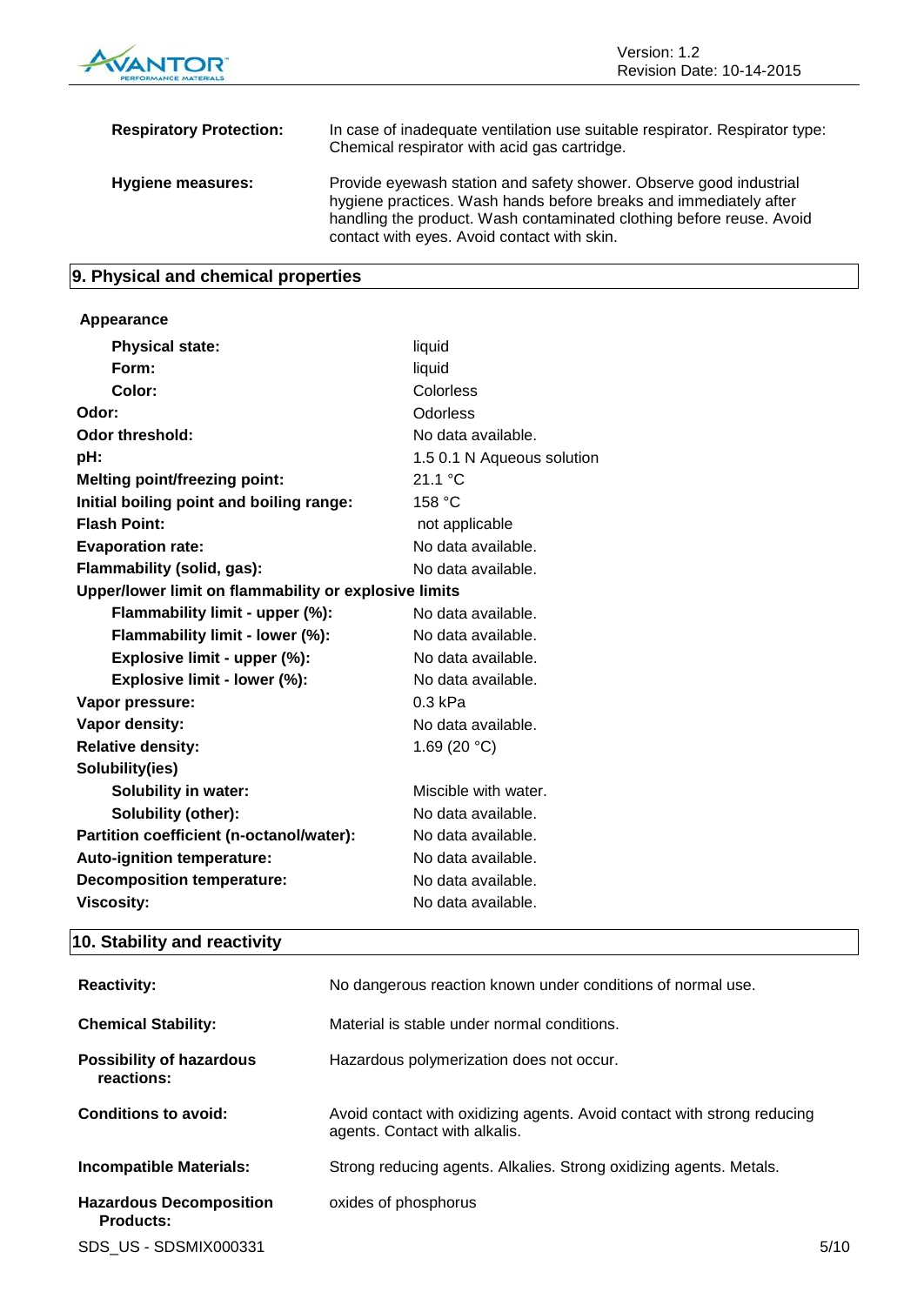

| <b>Respiratory Protection:</b> | In case of inadequate ventilation use suitable respirator. Respirator type:<br>Chemical respirator with acid gas cartridge.                                                                                                                                    |
|--------------------------------|----------------------------------------------------------------------------------------------------------------------------------------------------------------------------------------------------------------------------------------------------------------|
| <b>Hygiene measures:</b>       | Provide eyewash station and safety shower. Observe good industrial<br>hygiene practices. Wash hands before breaks and immediately after<br>handling the product. Wash contaminated clothing before reuse. Avoid<br>contact with eyes. Avoid contact with skin. |

# **9. Physical and chemical properties**

# **Appearance**

| <b>Physical state:</b>                                | liquid                     |
|-------------------------------------------------------|----------------------------|
| Form:                                                 | liquid                     |
| Color:                                                | Colorless                  |
| Odor:                                                 | Odorless                   |
| <b>Odor threshold:</b>                                | No data available.         |
| pH:                                                   | 1.5 0.1 N Aqueous solution |
| <b>Melting point/freezing point:</b>                  | 21.1 °C                    |
| Initial boiling point and boiling range:              | 158 °C                     |
| <b>Flash Point:</b>                                   | not applicable             |
| <b>Evaporation rate:</b>                              | No data available.         |
| Flammability (solid, gas):                            | No data available.         |
| Upper/lower limit on flammability or explosive limits |                            |
| Flammability limit - upper (%):                       | No data available.         |
| Flammability limit - lower (%):                       | No data available.         |
| Explosive limit - upper (%):                          | No data available.         |
| Explosive limit - lower (%):                          | No data available.         |
| Vapor pressure:                                       | $0.3$ kPa                  |
| Vapor density:                                        | No data available.         |
| <b>Relative density:</b>                              | 1.69 (20 $°C$ )            |
| Solubility(ies)                                       |                            |
| <b>Solubility in water:</b>                           | Miscible with water.       |
| Solubility (other):                                   | No data available.         |
| Partition coefficient (n-octanol/water):              | No data available.         |
| Auto-ignition temperature:                            | No data available.         |
| <b>Decomposition temperature:</b>                     | No data available.         |
| <b>Viscosity:</b>                                     | No data available.         |

# **10. Stability and reactivity**

| <b>Reactivity:</b>                                 | No dangerous reaction known under conditions of normal use.                                              |
|----------------------------------------------------|----------------------------------------------------------------------------------------------------------|
| <b>Chemical Stability:</b>                         | Material is stable under normal conditions.                                                              |
| <b>Possibility of hazardous</b><br>reactions:      | Hazardous polymerization does not occur.                                                                 |
| Conditions to avoid:                               | Avoid contact with oxidizing agents. Avoid contact with strong reducing<br>agents. Contact with alkalis. |
| <b>Incompatible Materials:</b>                     | Strong reducing agents. Alkalies. Strong oxidizing agents. Metals.                                       |
| <b>Hazardous Decomposition</b><br><b>Products:</b> | oxides of phosphorus                                                                                     |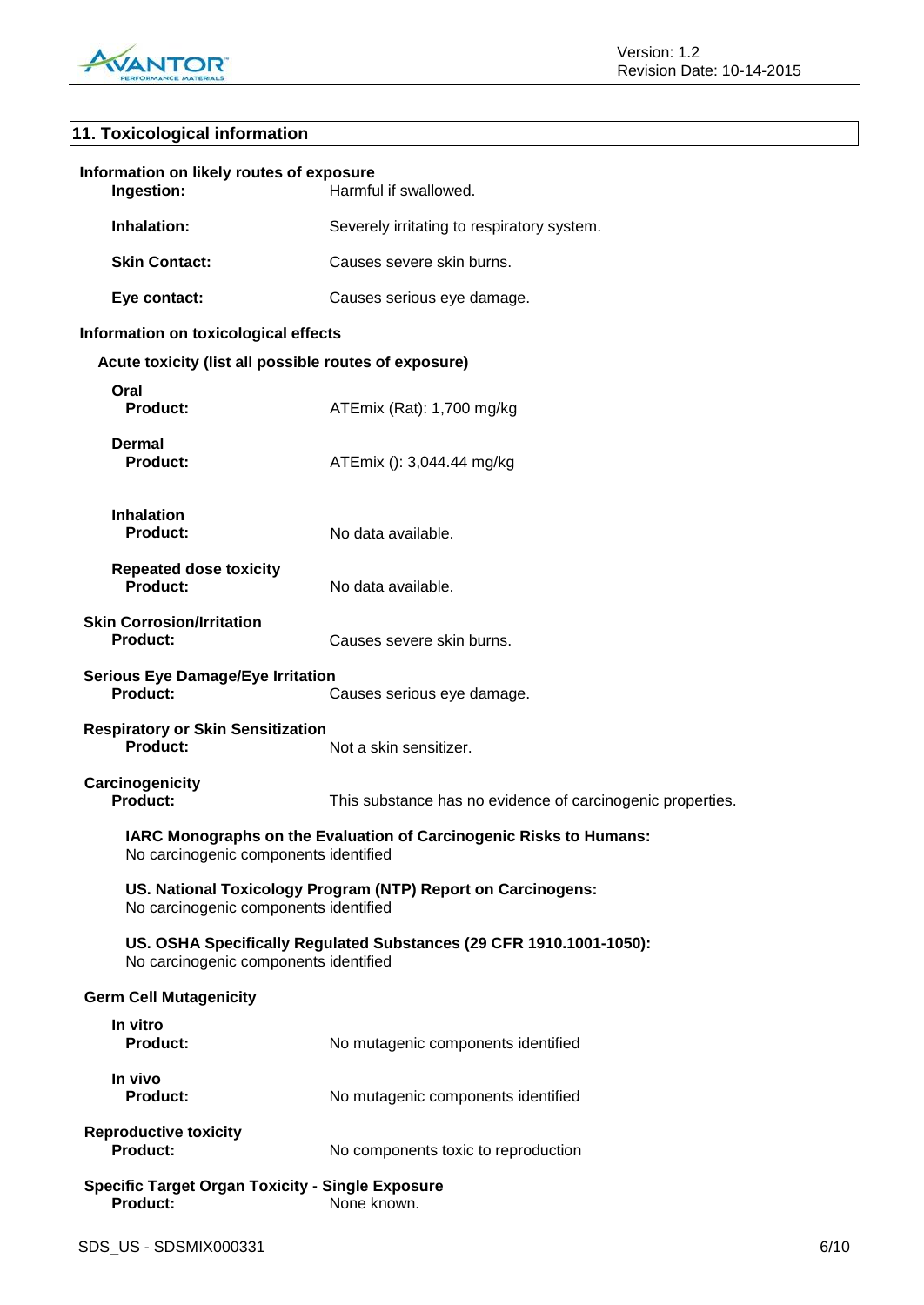

# **11. Toxicological information**

| Information on likely routes of exposure<br>Ingestion:                                                      | Harmful if swallowed.                                               |  |
|-------------------------------------------------------------------------------------------------------------|---------------------------------------------------------------------|--|
| Inhalation:                                                                                                 | Severely irritating to respiratory system.                          |  |
| <b>Skin Contact:</b>                                                                                        | Causes severe skin burns.                                           |  |
| Eye contact:                                                                                                | Causes serious eye damage.                                          |  |
| Information on toxicological effects                                                                        |                                                                     |  |
| Acute toxicity (list all possible routes of exposure)                                                       |                                                                     |  |
| Oral<br><b>Product:</b>                                                                                     | ATEmix (Rat): 1,700 mg/kg                                           |  |
| <b>Dermal</b><br><b>Product:</b>                                                                            | ATEmix (): 3,044.44 mg/kg                                           |  |
| <b>Inhalation</b><br>Product:                                                                               | No data available.                                                  |  |
| <b>Repeated dose toxicity</b><br><b>Product:</b>                                                            | No data available.                                                  |  |
| <b>Skin Corrosion/Irritation</b><br><b>Product:</b>                                                         | Causes severe skin burns.                                           |  |
| <b>Serious Eye Damage/Eye Irritation</b><br>Product:                                                        | Causes serious eye damage.                                          |  |
| <b>Respiratory or Skin Sensitization</b><br>Product:                                                        | Not a skin sensitizer.                                              |  |
| Carcinogenicity<br><b>Product:</b>                                                                          | This substance has no evidence of carcinogenic properties.          |  |
| IARC Monographs on the Evaluation of Carcinogenic Risks to Humans:<br>No carcinogenic components identified |                                                                     |  |
| No carcinogenic components identified                                                                       | US. National Toxicology Program (NTP) Report on Carcinogens:        |  |
| No carcinogenic components identified                                                                       | US. OSHA Specifically Regulated Substances (29 CFR 1910.1001-1050): |  |
| <b>Germ Cell Mutagenicity</b>                                                                               |                                                                     |  |
| In vitro<br><b>Product:</b>                                                                                 | No mutagenic components identified                                  |  |
| In vivo<br><b>Product:</b>                                                                                  | No mutagenic components identified                                  |  |
| <b>Reproductive toxicity</b><br><b>Product:</b>                                                             | No components toxic to reproduction                                 |  |
| <b>Specific Target Organ Toxicity - Single Exposure</b><br><b>Product:</b>                                  | None known.                                                         |  |
|                                                                                                             |                                                                     |  |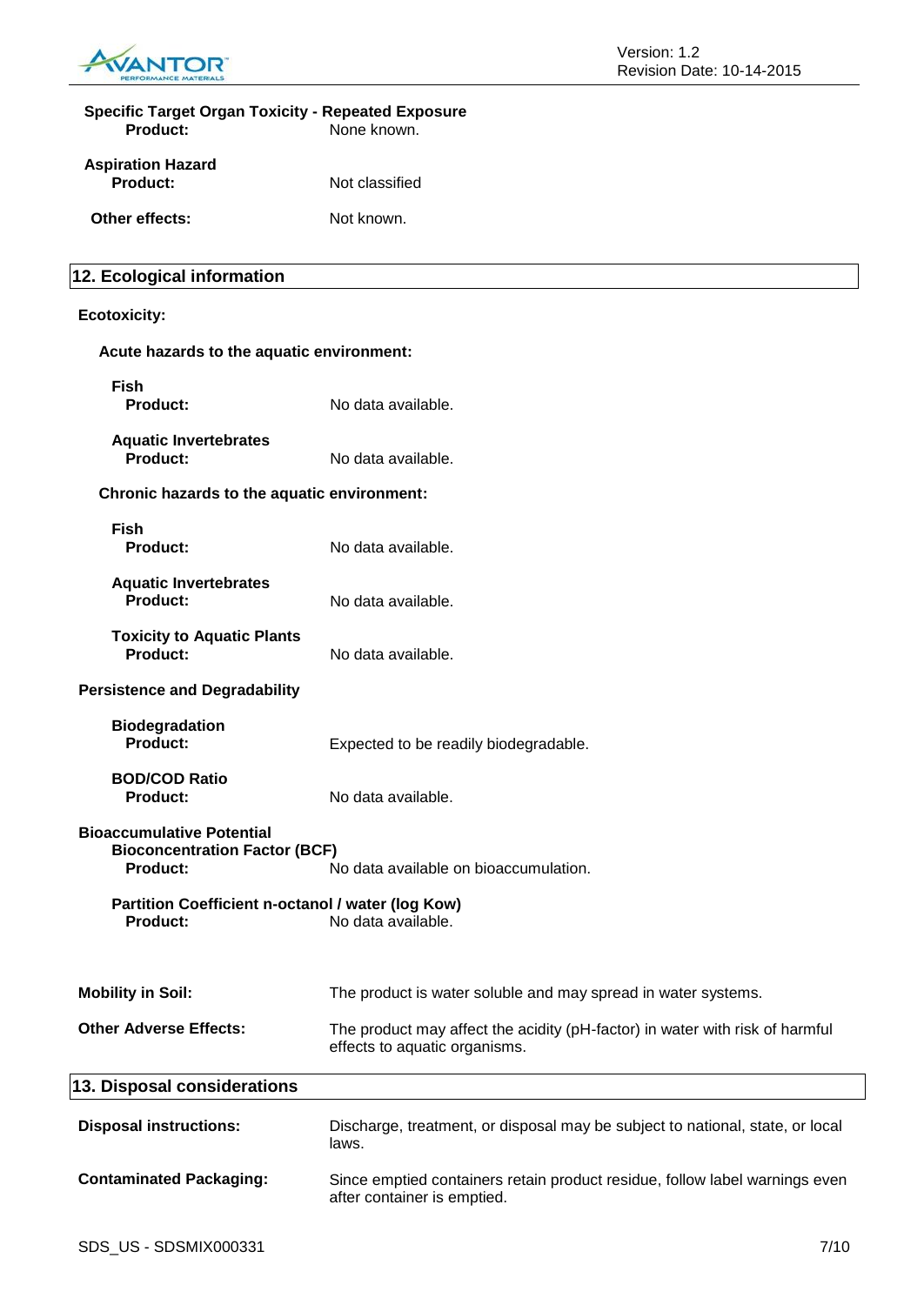

| <b>Specific Target Organ Toxicity - Repeated Exposure</b><br><b>Product:</b>                | None known.                                                                                                   |
|---------------------------------------------------------------------------------------------|---------------------------------------------------------------------------------------------------------------|
| <b>Aspiration Hazard</b><br><b>Product:</b>                                                 | Not classified                                                                                                |
| Other effects:                                                                              | Not known.                                                                                                    |
| 12. Ecological information                                                                  |                                                                                                               |
| <b>Ecotoxicity:</b>                                                                         |                                                                                                               |
| Acute hazards to the aquatic environment:                                                   |                                                                                                               |
| <b>Fish</b><br><b>Product:</b>                                                              | No data available.                                                                                            |
| <b>Aquatic Invertebrates</b><br>Product:                                                    | No data available.                                                                                            |
| Chronic hazards to the aquatic environment:                                                 |                                                                                                               |
| <b>Fish</b><br><b>Product:</b>                                                              | No data available.                                                                                            |
| <b>Aquatic Invertebrates</b><br><b>Product:</b>                                             | No data available.                                                                                            |
| <b>Toxicity to Aquatic Plants</b><br><b>Product:</b>                                        | No data available.                                                                                            |
| <b>Persistence and Degradability</b>                                                        |                                                                                                               |
| <b>Biodegradation</b><br><b>Product:</b>                                                    | Expected to be readily biodegradable.                                                                         |
| <b>BOD/COD Ratio</b><br><b>Product:</b>                                                     | No data available.                                                                                            |
| <b>Bioaccumulative Potential</b><br><b>Bioconcentration Factor (BCF)</b><br><b>Product:</b> | No data available on bioaccumulation.                                                                         |
| Partition Coefficient n-octanol / water (log Kow)<br><b>Product:</b>                        | No data available.                                                                                            |
| <b>Mobility in Soil:</b>                                                                    | The product is water soluble and may spread in water systems.                                                 |
| <b>Other Adverse Effects:</b>                                                               | The product may affect the acidity (pH-factor) in water with risk of harmful<br>effects to aquatic organisms. |
| 13. Disposal considerations                                                                 |                                                                                                               |
| <b>Disposal instructions:</b>                                                               | Discharge, treatment, or disposal may be subject to national, state, or local<br>laws.                        |
| <b>Contaminated Packaging:</b>                                                              | Since emptied containers retain product residue, follow label warnings even<br>after container is emptied.    |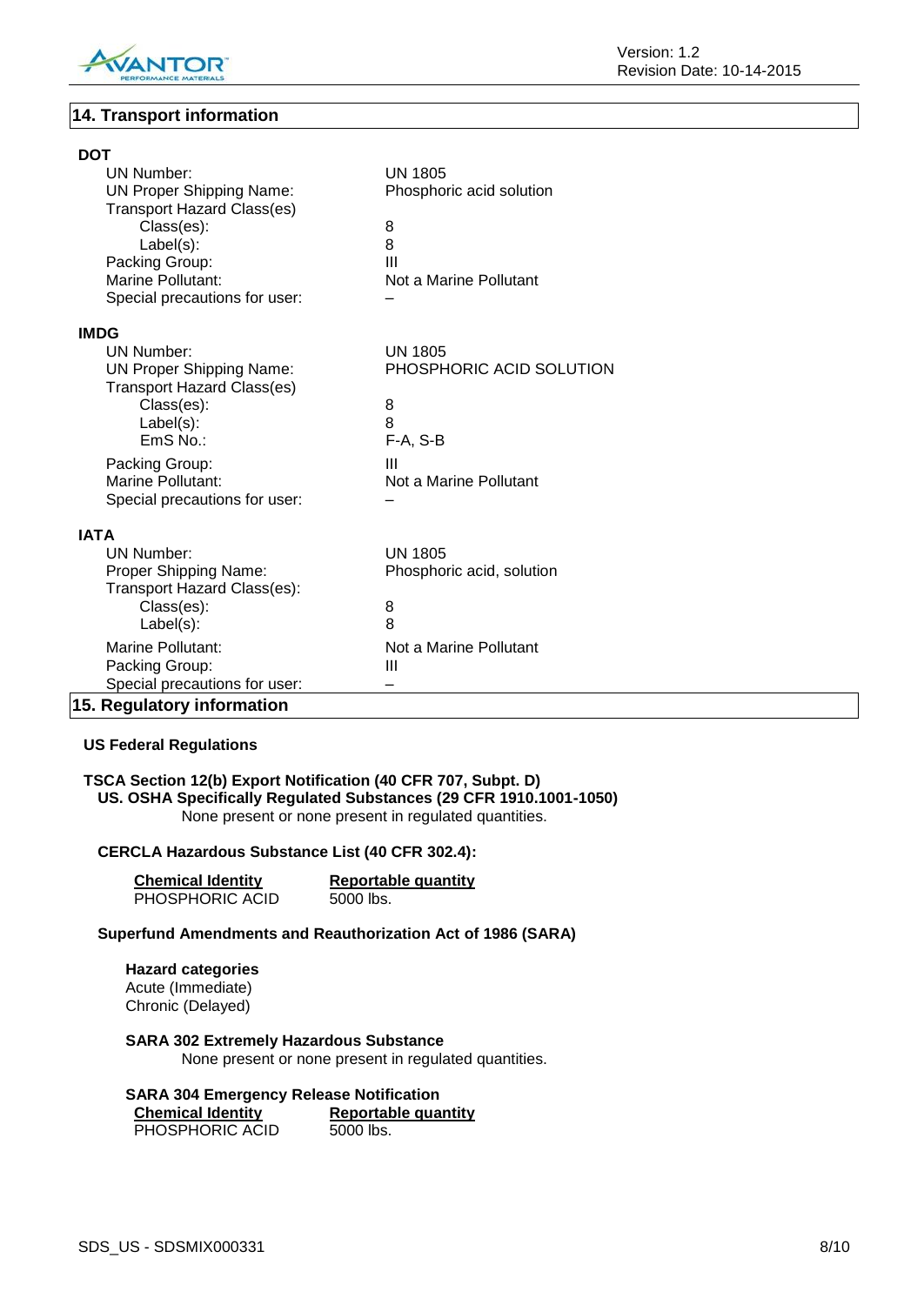

# **14. Transport information**

| <b>DOT</b>                                 |                           |
|--------------------------------------------|---------------------------|
| <b>UN Number:</b>                          | <b>UN 1805</b>            |
| <b>UN Proper Shipping Name:</b>            | Phosphoric acid solution  |
| <b>Transport Hazard Class(es)</b>          |                           |
| Class(es):                                 | 8                         |
| $Label(s)$ :                               | 8<br>Ш                    |
| Packing Group:<br><b>Marine Pollutant:</b> | Not a Marine Pollutant    |
| Special precautions for user:              |                           |
|                                            |                           |
| <b>IMDG</b>                                |                           |
| UN Number:                                 | <b>UN 1805</b>            |
| <b>UN Proper Shipping Name:</b>            | PHOSPHORIC ACID SOLUTION  |
| <b>Transport Hazard Class(es)</b>          |                           |
| Class(es):                                 | 8                         |
| $Label(s)$ :                               | 8                         |
| EmS No.:                                   | $F-A, S-B$                |
| Packing Group:                             | Ш                         |
| Marine Pollutant:                          | Not a Marine Pollutant    |
| Special precautions for user:              |                           |
| <b>IATA</b>                                |                           |
| <b>UN Number:</b>                          | <b>UN 1805</b>            |
| Proper Shipping Name:                      | Phosphoric acid, solution |
| Transport Hazard Class(es):                |                           |
| Class(es):                                 | 8                         |
| Label(s):                                  | 8                         |
| Marine Pollutant:                          | Not a Marine Pollutant    |
| Packing Group:                             | Ш                         |
| Special precautions for user:              |                           |
| 15. Regulatory information                 |                           |

# **US Federal Regulations**

# **TSCA Section 12(b) Export Notification (40 CFR 707, Subpt. D) US. OSHA Specifically Regulated Substances (29 CFR 1910.1001-1050)** None present or none present in regulated quantities.

# **CERCLA Hazardous Substance List (40 CFR 302.4):**

| <b>Chemical Identity</b> | <b>Reportable quantity</b> |
|--------------------------|----------------------------|
| PHOSPHORIC ACID          | 5000 lbs.                  |

# **Superfund Amendments and Reauthorization Act of 1986 (SARA)**

#### **Hazard categories** Acute (Immediate) Chronic (Delayed)

#### **SARA 302 Extremely Hazardous Substance** None present or none present in regulated quantities.

## **SARA 304 Emergency Release Notification Chemical Identity Reportable quantity**

PHOSPHORIC ACID 5000 lbs.

SDS\_US - SDSMIX000331 8/10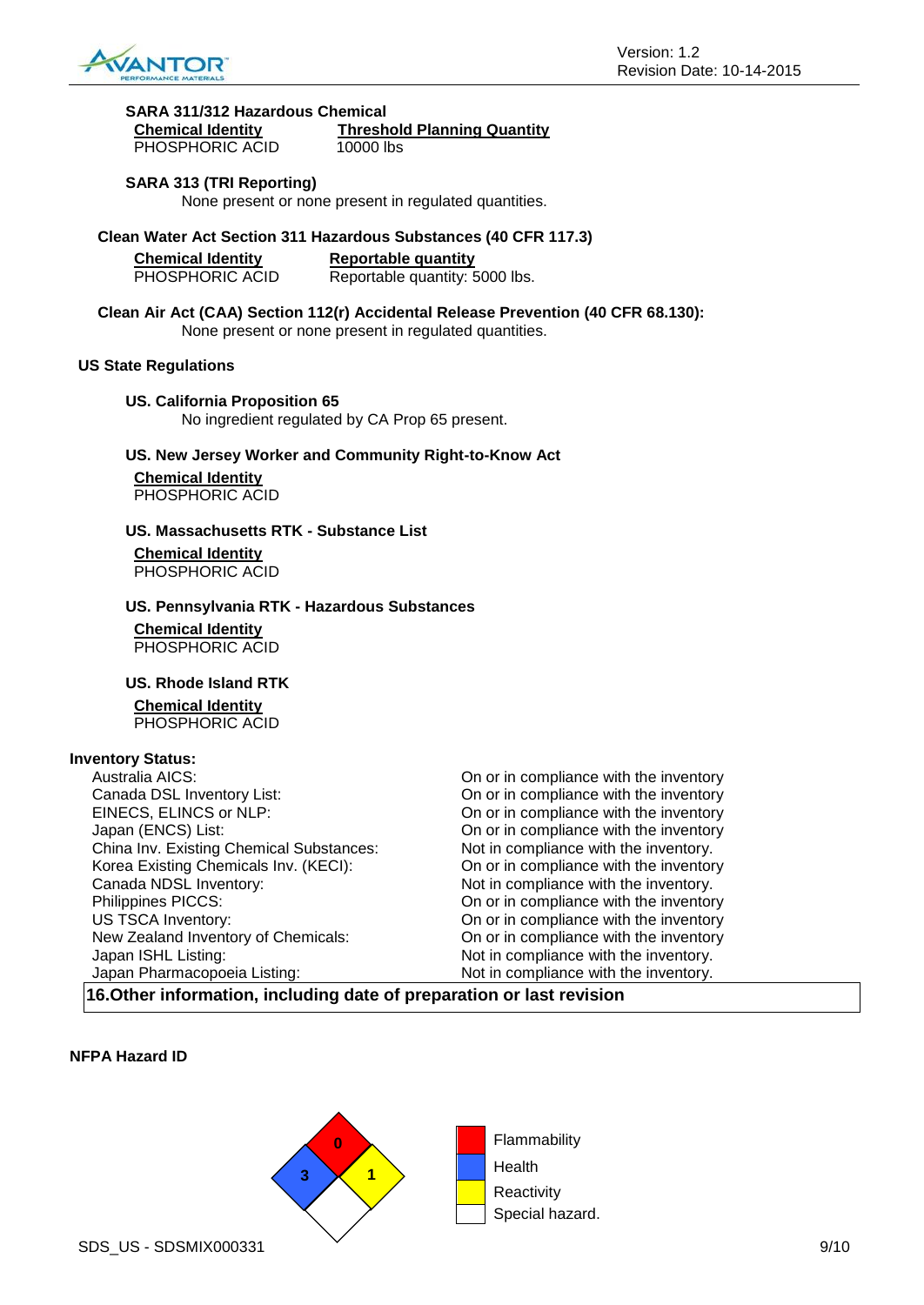

| SARA 311/312 Hazardous Chemical |                                    |
|---------------------------------|------------------------------------|
| <b>Chemical Identity</b>        | <b>Threshold Planning Quantity</b> |
| PHOSPHORIC ACID                 | 10000 lbs                          |

## **SARA 313 (TRI Reporting)**

None present or none present in regulated quantities.

**Clean Water Act Section 311 Hazardous Substances (40 CFR 117.3)**

| <b>Chemical Identity</b> | Reportable quantity            |
|--------------------------|--------------------------------|
| PHOSPHORIC ACID          | Reportable quantity: 5000 lbs. |

**Clean Air Act (CAA) Section 112(r) Accidental Release Prevention (40 CFR 68.130):** None present or none present in regulated quantities.

# **US State Regulations**

**US. California Proposition 65** No ingredient regulated by CA Prop 65 present.

# **US. New Jersey Worker and Community Right-to-Know Act**

**Chemical Identity** PHOSPHORIC ACID

# **US. Massachusetts RTK - Substance List**

**Chemical Identity** PHOSPHORIC ACID

# **US. Pennsylvania RTK - Hazardous Substances**

**Chemical Identity** PHOSPHORIC ACID

#### **US. Rhode Island RTK**

#### **Chemical Identity**

PHOSPHORIC ACID

# **Inventory Status:**

| Australia AICS:                                                       | On or in compliance with the inventory |
|-----------------------------------------------------------------------|----------------------------------------|
| Canada DSL Inventory List:                                            | On or in compliance with the inventory |
| EINECS, ELINCS or NLP:                                                | On or in compliance with the inventory |
| Japan (ENCS) List:                                                    | On or in compliance with the inventory |
| China Inv. Existing Chemical Substances:                              | Not in compliance with the inventory.  |
| Korea Existing Chemicals Inv. (KECI):                                 | On or in compliance with the inventory |
| Canada NDSL Inventory:                                                | Not in compliance with the inventory.  |
| Philippines PICCS:                                                    | On or in compliance with the inventory |
| <b>US TSCA Inventory:</b>                                             | On or in compliance with the inventory |
| New Zealand Inventory of Chemicals:                                   | On or in compliance with the inventory |
| Japan ISHL Listing:                                                   | Not in compliance with the inventory.  |
| Japan Pharmacopoeia Listing:                                          | Not in compliance with the inventory.  |
| 16. Other information, including date of preparation or last revision |                                        |

## **NFPA Hazard ID**